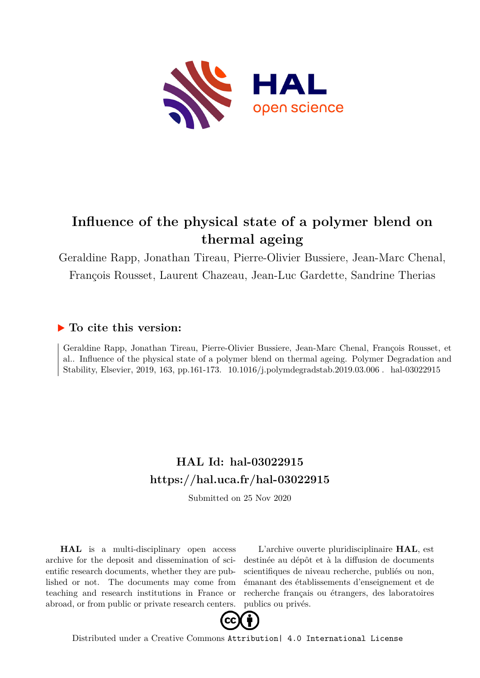

# **Influence of the physical state of a polymer blend on thermal ageing**

Geraldine Rapp, Jonathan Tireau, Pierre-Olivier Bussiere, Jean-Marc Chenal, François Rousset, Laurent Chazeau, Jean-Luc Gardette, Sandrine Therias

# **To cite this version:**

Geraldine Rapp, Jonathan Tireau, Pierre-Olivier Bussiere, Jean-Marc Chenal, François Rousset, et al.. Influence of the physical state of a polymer blend on thermal ageing. Polymer Degradation and Stability, Elsevier, 2019, 163, pp.161-173.  $10.1016/j.polymdegradstab.2019.03.006$ . hal-03022915

# **HAL Id: hal-03022915 <https://hal.uca.fr/hal-03022915>**

Submitted on 25 Nov 2020

**HAL** is a multi-disciplinary open access archive for the deposit and dissemination of scientific research documents, whether they are published or not. The documents may come from teaching and research institutions in France or abroad, or from public or private research centers.

L'archive ouverte pluridisciplinaire **HAL**, est destinée au dépôt et à la diffusion de documents scientifiques de niveau recherche, publiés ou non, émanant des établissements d'enseignement et de recherche français ou étrangers, des laboratoires publics ou privés.



Distributed under a Creative Commons [Attribution| 4.0 International License](http://creativecommons.org/licenses/by/4.0/)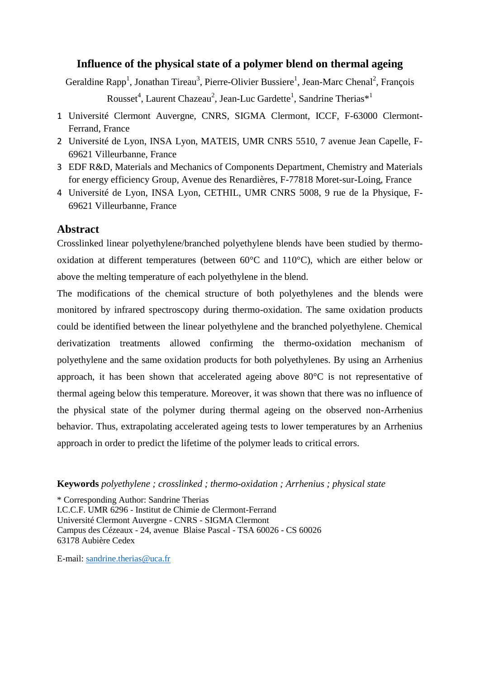# **Influence of the physical state of a polymer blend on thermal ageing**

Geraldine Rapp<sup>1</sup>, Jonathan Tireau<sup>3</sup>, Pierre-Olivier Bussiere<sup>1</sup>, Jean-Marc Chenal<sup>2</sup>, François

Rousset<sup>4</sup>, Laurent Chazeau<sup>2</sup>, Jean-Luc Gardette<sup>1</sup>, Sandrine Therias<sup>\*1</sup>

- 1 Université Clermont Auvergne, CNRS, SIGMA Clermont, ICCF, F-63000 Clermont-Ferrand, France
- 2 Université de Lyon, INSA Lyon, MATEIS, UMR CNRS 5510, 7 avenue Jean Capelle, F-69621 Villeurbanne, France
- 3 EDF R&D, Materials and Mechanics of Components Department, Chemistry and Materials for energy efficiency Group, Avenue des Renardières, F-77818 Moret-sur-Loing, France
- 4 Université de Lyon, INSA Lyon, CETHIL, UMR CNRS 5008, 9 rue de la Physique, F-69621 Villeurbanne, France

# **Abstract**

Crosslinked linear polyethylene/branched polyethylene blends have been studied by thermooxidation at different temperatures (between 60°C and 110°C), which are either below or above the melting temperature of each polyethylene in the blend.

The modifications of the chemical structure of both polyethylenes and the blends were monitored by infrared spectroscopy during thermo-oxidation. The same oxidation products could be identified between the linear polyethylene and the branched polyethylene. Chemical derivatization treatments allowed confirming the thermo-oxidation mechanism of polyethylene and the same oxidation products for both polyethylenes. By using an Arrhenius approach, it has been shown that accelerated ageing above 80°C is not representative of thermal ageing below this temperature. Moreover, it was shown that there was no influence of the physical state of the polymer during thermal ageing on the observed non-Arrhenius behavior. Thus, extrapolating accelerated ageing tests to lower temperatures by an Arrhenius approach in order to predict the lifetime of the polymer leads to critical errors.

**Keywords** *polyethylene ; crosslinked ; thermo-oxidation ; Arrhenius ; physical state* 

\* Corresponding Author: Sandrine Therias

I.C.C.F. UMR 6296 - Institut de Chimie de Clermont-Ferrand Université Clermont Auvergne - CNRS - SIGMA Clermont Campus des Cézeaux - 24, avenue Blaise Pascal - TSA 60026 - CS 60026 63178 Aubière Cedex

E-mail: [sandrine.therias@uca.fr](mailto:sandrine.therias@uca.fr)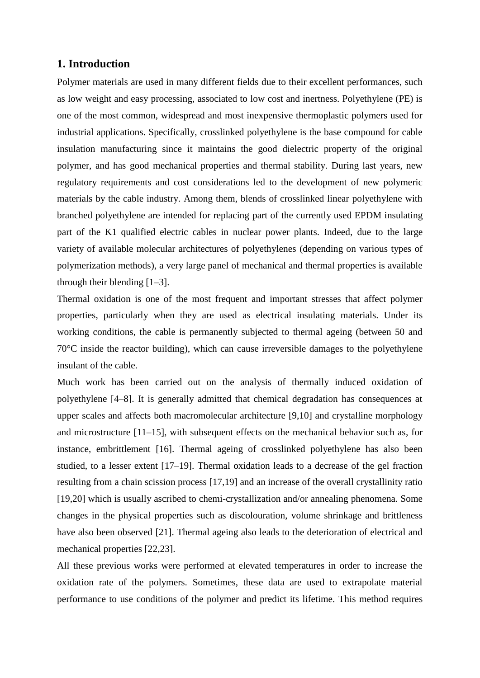# **1. Introduction**

Polymer materials are used in many different fields due to their excellent performances, such as low weight and easy processing, associated to low cost and inertness. Polyethylene (PE) is one of the most common, widespread and most inexpensive thermoplastic polymers used for industrial applications. Specifically, crosslinked polyethylene is the base compound for cable insulation manufacturing since it maintains the good dielectric property of the original polymer, and has good mechanical properties and thermal stability. During last years, new regulatory requirements and cost considerations led to the development of new polymeric materials by the cable industry. Among them, blends of crosslinked linear polyethylene with branched polyethylene are intended for replacing part of the currently used EPDM insulating part of the K1 qualified electric cables in nuclear power plants. Indeed, due to the large variety of available molecular architectures of polyethylenes (depending on various types of polymerization methods), a very large panel of mechanical and thermal properties is available through their blending [1–3].

Thermal oxidation is one of the most frequent and important stresses that affect polymer properties, particularly when they are used as electrical insulating materials. Under its working conditions, the cable is permanently subjected to thermal ageing (between 50 and 70°C inside the reactor building), which can cause irreversible damages to the polyethylene insulant of the cable.

Much work has been carried out on the analysis of thermally induced oxidation of polyethylene [4–8]. It is generally admitted that chemical degradation has consequences at upper scales and affects both macromolecular architecture [9,10] and crystalline morphology and microstructure [11–15], with subsequent effects on the mechanical behavior such as, for instance, embrittlement [16]. Thermal ageing of crosslinked polyethylene has also been studied, to a lesser extent [17–19]. Thermal oxidation leads to a decrease of the gel fraction resulting from a chain scission process [17,19] and an increase of the overall crystallinity ratio [19,20] which is usually ascribed to chemi-crystallization and/or annealing phenomena. Some changes in the physical properties such as discolouration, volume shrinkage and brittleness have also been observed [21]. Thermal ageing also leads to the deterioration of electrical and mechanical properties [22,23].

All these previous works were performed at elevated temperatures in order to increase the oxidation rate of the polymers. Sometimes, these data are used to extrapolate material performance to use conditions of the polymer and predict its lifetime. This method requires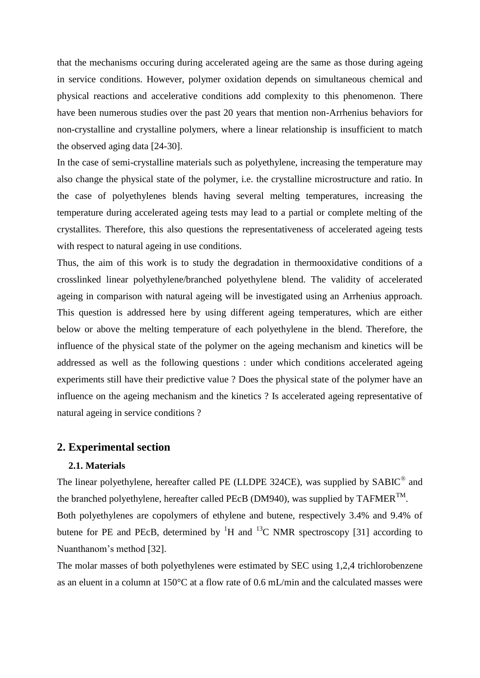that the mechanisms occuring during accelerated ageing are the same as those during ageing in service conditions. However, polymer oxidation depends on simultaneous chemical and physical reactions and accelerative conditions add complexity to this phenomenon. There have been numerous studies over the past 20 years that mention non-Arrhenius behaviors for non-crystalline and crystalline polymers, where a linear relationship is insufficient to match the observed aging data [24-30].

In the case of semi-crystalline materials such as polyethylene, increasing the temperature may also change the physical state of the polymer, i.e. the crystalline microstructure and ratio. In the case of polyethylenes blends having several melting temperatures, increasing the temperature during accelerated ageing tests may lead to a partial or complete melting of the crystallites. Therefore, this also questions the representativeness of accelerated ageing tests with respect to natural ageing in use conditions.

Thus, the aim of this work is to study the degradation in thermooxidative conditions of a crosslinked linear polyethylene/branched polyethylene blend. The validity of accelerated ageing in comparison with natural ageing will be investigated using an Arrhenius approach. This question is addressed here by using different ageing temperatures, which are either below or above the melting temperature of each polyethylene in the blend. Therefore, the influence of the physical state of the polymer on the ageing mechanism and kinetics will be addressed as well as the following questions : under which conditions accelerated ageing experiments still have their predictive value ? Does the physical state of the polymer have an influence on the ageing mechanism and the kinetics ? Is accelerated ageing representative of natural ageing in service conditions ?

# **2. Experimental section**

#### **2.1. Materials**

The linear polyethylene, hereafter called PE (LLDPE 324CE), was supplied by SABIC<sup>®</sup> and the branched polyethylene, hereafter called PEcB (DM940), was supplied by  $TAFMER^{TM}$ . Both polyethylenes are copolymers of ethylene and butene, respectively 3.4% and 9.4% of butene for PE and PEcB, determined by  ${}^{1}H$  and  ${}^{13}C$  NMR spectroscopy [31] according to Nuanthanom's method [32].

The molar masses of both polyethylenes were estimated by SEC using 1,2,4 trichlorobenzene as an eluent in a column at 150°C at a flow rate of 0.6 mL/min and the calculated masses were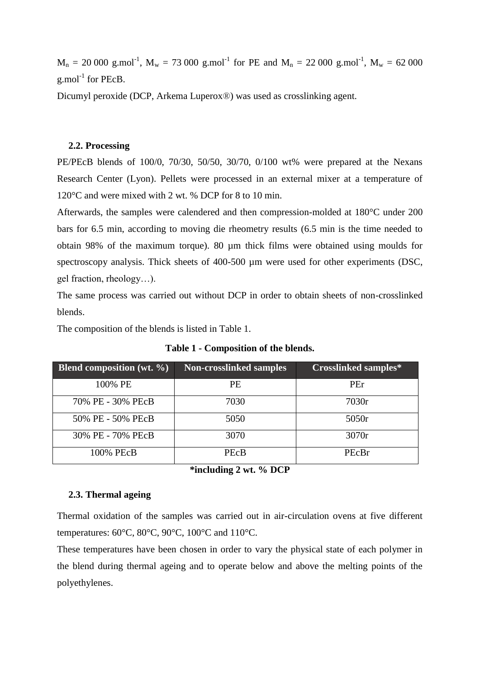$M_n = 20000$  g.mol<sup>-1</sup>,  $M_w = 73000$  g.mol<sup>-1</sup> for PE and  $M_n = 22000$  g.mol<sup>-1</sup>,  $M_w = 62000$  $g$ .mol<sup>-1</sup> for PEcB.

Dicumyl peroxide (DCP, Arkema Luperox®) was used as crosslinking agent.

#### **2.2. Processing**

PE/PEcB blends of 100/0, 70/30, 50/50, 30/70, 0/100 wt% were prepared at the Nexans Research Center (Lyon). Pellets were processed in an external mixer at a temperature of 120°C and were mixed with 2 wt. % DCP for 8 to 10 min.

Afterwards, the samples were calendered and then compression-molded at 180°C under 200 bars for 6.5 min, according to moving die rheometry results (6.5 min is the time needed to obtain 98% of the maximum torque). 80 µm thick films were obtained using moulds for spectroscopy analysis. Thick sheets of 400-500  $\mu$ m were used for other experiments (DSC, gel fraction, rheology…).

The same process was carried out without DCP in order to obtain sheets of non-crosslinked blends.

The composition of the blends is listed in Table 1.

| <b>Blend composition (wt. <math>\%</math>)</b> | <b>Non-crosslinked samples</b> | <b>Crosslinked samples*</b> |
|------------------------------------------------|--------------------------------|-----------------------------|
| 100% PE                                        | PE.                            | PEr                         |
| 70% PE - 30% PEcB                              | 7030                           | 7030r                       |
| 50% PE - 50% PEcB                              | 5050                           | 5050r                       |
| 30% PE - 70% PEcB                              | 3070                           | 3070r                       |
| 100% PEcB                                      | <b>PEcB</b>                    | PEcBr                       |

**Table 1 - Composition of the blends.**

**\*including 2 wt. % DCP**

#### **2.3. Thermal ageing**

Thermal oxidation of the samples was carried out in air-circulation ovens at five different temperatures: 60°C, 80°C, 90°C, 100°C and 110°C.

These temperatures have been chosen in order to vary the physical state of each polymer in the blend during thermal ageing and to operate below and above the melting points of the polyethylenes.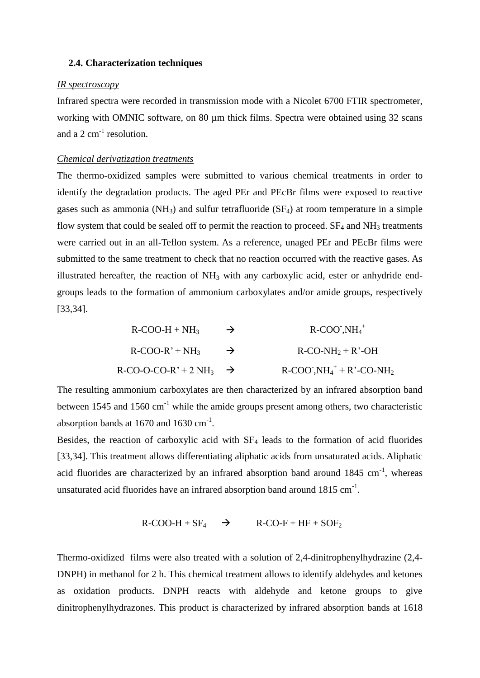#### **2.4. Characterization techniques**

#### *IR spectroscopy*

Infrared spectra were recorded in transmission mode with a Nicolet 6700 FTIR spectrometer, working with OMNIC software, on 80 µm thick films. Spectra were obtained using 32 scans and a  $2 \text{ cm}^{-1}$  resolution.

#### *Chemical derivatization treatments*

The thermo-oxidized samples were submitted to various chemical treatments in order to identify the degradation products. The aged PEr and PEcBr films were exposed to reactive gases such as ammonia ( $NH_3$ ) and sulfur tetrafluoride ( $SF_4$ ) at room temperature in a simple flow system that could be sealed off to permit the reaction to proceed.  $SF<sub>4</sub>$  and  $NH<sub>3</sub>$  treatments were carried out in an all-Teflon system. As a reference, unaged PEr and PEcBr films were submitted to the same treatment to check that no reaction occurred with the reactive gases. As illustrated hereafter, the reaction of  $NH<sub>3</sub>$  with any carboxylic acid, ester or anhydride endgroups leads to the formation of ammonium carboxylates and/or amide groups, respectively [33,34].

| $R-COO-H + NH3$                  | $\rightarrow$ | $R-COO^{\dagger}$ , $NH_4^+$                   |
|----------------------------------|---------------|------------------------------------------------|
| $R-COO-R' + NH3$                 | $\rightarrow$ | $R$ -CO-NH <sub>2</sub> + R'-OH                |
| $R-CO-O-CO-R'+2NH_3 \rightarrow$ |               | $R-COO^T$ , $NH_4^+ + R^T$ -CO-NH <sub>2</sub> |

The resulting ammonium carboxylates are then characterized by an infrared absorption band between 1545 and 1560  $cm^{-1}$  while the amide groups present among others, two characteristic absorption bands at  $1670$  and  $1630$  cm<sup>-1</sup>.

Besides, the reaction of carboxylic acid with  $SF<sub>4</sub>$  leads to the formation of acid fluorides [33,34]. This treatment allows differentiating aliphatic acids from unsaturated acids. Aliphatic acid fluorides are characterized by an infrared absorption band around  $1845 \text{ cm}^{-1}$ , whereas unsaturated acid fluorides have an infrared absorption band around  $1815 \text{ cm}^{-1}$ .

$$
R-COO-H + SF_4 \rightarrow R-CO-F + HF + SOF_2
$$

Thermo-oxidized films were also treated with a solution of 2,4-dinitrophenylhydrazine (2,4- DNPH) in methanol for 2 h. This chemical treatment allows to identify aldehydes and ketones as oxidation products. DNPH reacts with aldehyde and ketone groups to give dinitrophenylhydrazones. This product is characterized by infrared absorption bands at 1618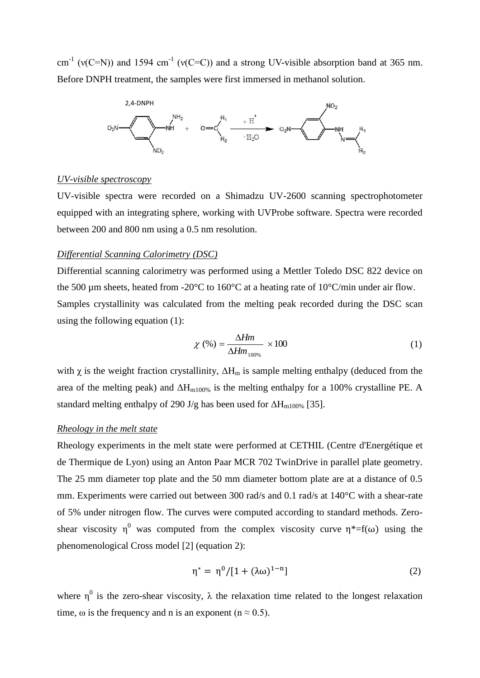cm<sup>-1</sup> (v(C=N)) and 1594 cm<sup>-1</sup> (v(C=C)) and a strong UV-visible absorption band at 365 nm. Before DNPH treatment, the samples were first immersed in methanol solution.



#### *UV-visible spectroscopy*

UV-visible spectra were recorded on a Shimadzu UV-2600 scanning spectrophotometer equipped with an integrating sphere, working with UVProbe software. Spectra were recorded between 200 and 800 nm using a 0.5 nm resolution.

#### *Differential Scanning Calorimetry (DSC)*

Differential scanning calorimetry was performed using a Mettler Toledo DSC 822 device on the 500 um sheets, heated from -20 $^{\circ}$ C to 160 $^{\circ}$ C at a heating rate of 10 $^{\circ}$ C/min under air flow. Samples crystallinity was calculated from the melting peak recorded during the DSC scan using the following equation (1):

$$
\chi\left(\% \right) = \frac{\Delta Hm}{\Delta Hm_{100\%}} \times 100\tag{1}
$$

with  $\chi$  is the weight fraction crystallinity,  $\Delta H_m$  is sample melting enthalpy (deduced from the area of the melting peak) and  $\Delta H_{m100\%}$  is the melting enthalpy for a 100% crystalline PE. A standard melting enthalpy of 290 J/g has been used for  $\Delta H_{\rm m100\%}$  [35].

#### *Rheology in the melt state*

Rheology experiments in the melt state were performed at CETHIL (Centre d'Energétique et de Thermique de Lyon) using an Anton Paar MCR 702 TwinDrive in parallel plate geometry. The 25 mm diameter top plate and the 50 mm diameter bottom plate are at a distance of 0.5 mm. Experiments were carried out between 300 rad/s and 0.1 rad/s at 140°C with a shear-rate of 5% under nitrogen flow. The curves were computed according to standard methods. Zeroshear viscosity  $\eta^0$  was computed from the complex viscosity curve  $\eta^* = f(\omega)$  using the phenomenological Cross model [2] (equation 2):

$$
\eta^* = \eta^0 / [1 + (\lambda \omega)^{1-n}] \tag{2}
$$

where  $\eta^0$  is the zero-shear viscosity,  $\lambda$  the relaxation time related to the longest relaxation time,  $\omega$  is the frequency and n is an exponent (n  $\approx$  0.5).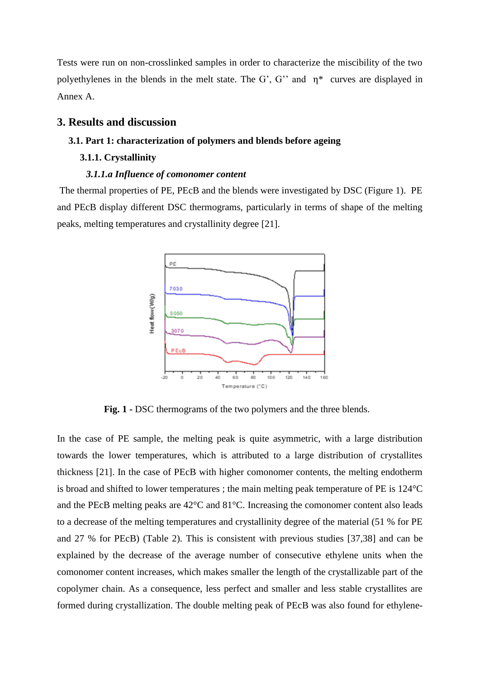Tests were run on non-crosslinked samples in order to characterize the miscibility of the two polyethylenes in the blends in the melt state. The G', G'' and  $\eta^*$  curves are displayed in Annex A.

## **3. Results and discussion**

#### **3.1. Part 1: characterization of polymers and blends before ageing**

#### **3.1.1. Crystallinity**

#### *3.1.1.a Influence of comonomer content*

The thermal properties of PE, PEcB and the blends were investigated by DSC (Figure 1). PE and PEcB display different DSC thermograms, particularly in terms of shape of the melting peaks, melting temperatures and crystallinity degree [21].



**Fig. 1 -** DSC thermograms of the two polymers and the three blends.

In the case of PE sample, the melting peak is quite asymmetric, with a large distribution towards the lower temperatures, which is attributed to a large distribution of crystallites thickness [21]. In the case of PEcB with higher comonomer contents, the melting endotherm is broad and shifted to lower temperatures ; the main melting peak temperature of PE is 124°C and the PEcB melting peaks are 42°C and 81°C. Increasing the comonomer content also leads to a decrease of the melting temperatures and crystallinity degree of the material (51 % for PE and 27 % for PEcB) (Table 2). This is consistent with previous studies [37,38] and can be explained by the decrease of the average number of consecutive ethylene units when the comonomer content increases, which makes smaller the length of the crystallizable part of the copolymer chain. As a consequence, less perfect and smaller and less stable crystallites are formed during crystallization. The double melting peak of PEcB was also found for ethylene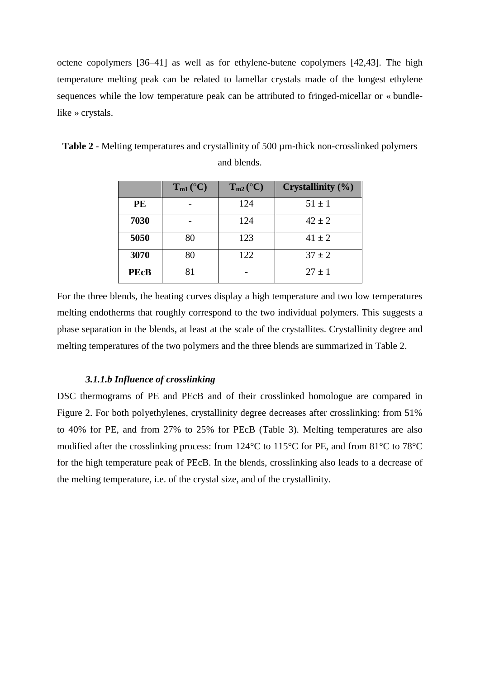octene copolymers [36–41] as well as for ethylene-butene copolymers [42,43]. The high temperature melting peak can be related to lamellar crystals made of the longest ethylene sequences while the low temperature peak can be attributed to fringed-micellar or « bundlelike » crystals.

|             | $T_{m1}$ (°C) | $T_{m2}$ (°C) | <b>Crystallinity</b> (%) |
|-------------|---------------|---------------|--------------------------|
| <b>PE</b>   |               | 124           | $51 \pm 1$               |
| 7030        |               | 124           | $42 \pm 2$               |
| 5050        | 80            | 123           | $41 \pm 2$               |
| 3070        | 80            | 122           | $37 \pm 2$               |
| <b>PEcB</b> | 81            |               | $27 + 1$                 |

**Table 2** - Melting temperatures and crystallinity of 500 µm-thick non-crosslinked polymers and blends.

For the three blends, the heating curves display a high temperature and two low temperatures melting endotherms that roughly correspond to the two individual polymers. This suggests a phase separation in the blends, at least at the scale of the crystallites. Crystallinity degree and melting temperatures of the two polymers and the three blends are summarized in Table 2.

#### *3.1.1.b Influence of crosslinking*

DSC thermograms of PE and PEcB and of their crosslinked homologue are compared in Figure 2. For both polyethylenes, crystallinity degree decreases after crosslinking: from 51% to 40% for PE, and from 27% to 25% for PEcB (Table 3). Melting temperatures are also modified after the crosslinking process: from 124°C to 115°C for PE, and from 81°C to 78°C for the high temperature peak of PEcB. In the blends, crosslinking also leads to a decrease of the melting temperature, i.e. of the crystal size, and of the crystallinity.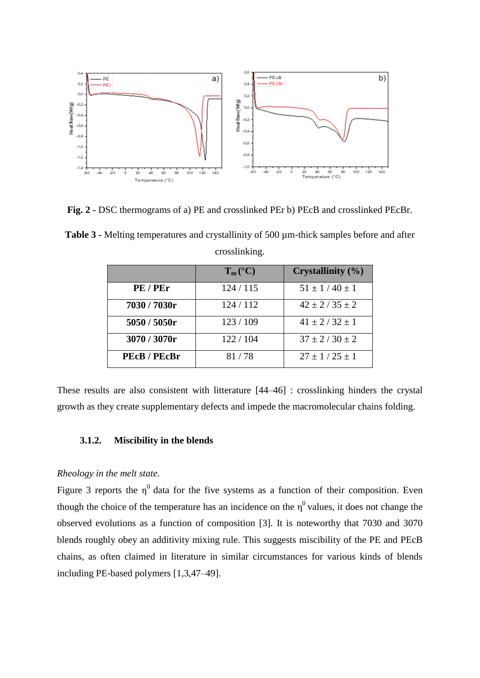

**Fig. 2 -** DSC thermograms of a) PE and crosslinked PEr b) PEcB and crosslinked PEcBr.

**Table 3 -** Melting temperatures and crystallinity of 500 µm-thick samples before and after crosslinking.

|              | $T_m (^{\circ}C)$ | Crystallinity (%)     |
|--------------|-------------------|-----------------------|
| PE/PEr       | 124/115           | $51 \pm 1/40 \pm 1$   |
| 7030 / 7030r | 124 / 112         | $42 \pm 2 / 35 \pm 2$ |
| 5050 / 5050r | 123/109           | $41 \pm 2 / 32 \pm 1$ |
| 3070 / 3070r | 122/104           | $37 \pm 2 / 30 \pm 2$ |
| PEcB / PEcBr | 81/78             | $27 \pm 1/25 \pm 1$   |

These results are also consistent with litterature [44–46] : crosslinking hinders the crystal growth as they create supplementary defects and impede the macromolecular chains folding.

## **3.1.2. Miscibility in the blends**

## *Rheology in the melt state.*

Figure 3 reports the  $\eta^0$  data for the five systems as a function of their composition. Even though the choice of the temperature has an incidence on the  $\eta^0$  values, it does not change the observed evolutions as a function of composition [3]. It is noteworthy that 7030 and 3070 blends roughly obey an additivity mixing rule. This suggests miscibility of the PE and PEcB chains, as often claimed in literature in similar circumstances for various kinds of blends including PE-based polymers [1,3,47–49].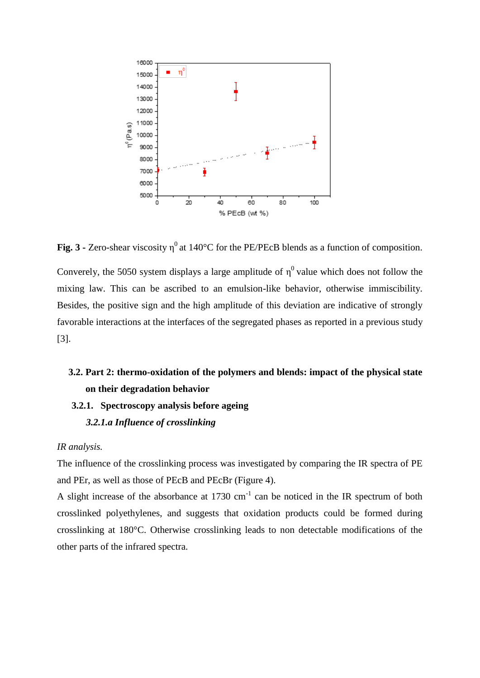

**Fig. 3 -** Zero-shear viscosity  $\eta^0$  at 140°C for the PE/PEcB blends as a function of composition.

Converely, the 5050 system displays a large amplitude of  $\eta^0$  value which does not follow the mixing law. This can be ascribed to an emulsion-like behavior, otherwise immiscibility. Besides, the positive sign and the high amplitude of this deviation are indicative of strongly favorable interactions at the interfaces of the segregated phases as reported in a previous study [3].

# **3.2. Part 2: thermo-oxidation of the polymers and blends: impact of the physical state on their degradation behavior**

- **3.2.1. Spectroscopy analysis before ageing**
	- *3.2.1.a Influence of crosslinking*

#### *IR analysis.*

The influence of the crosslinking process was investigated by comparing the IR spectra of PE and PEr, as well as those of PEcB and PEcBr (Figure 4).

A slight increase of the absorbance at  $1730 \text{ cm}^{-1}$  can be noticed in the IR spectrum of both crosslinked polyethylenes, and suggests that oxidation products could be formed during crosslinking at 180°C. Otherwise crosslinking leads to non detectable modifications of the other parts of the infrared spectra.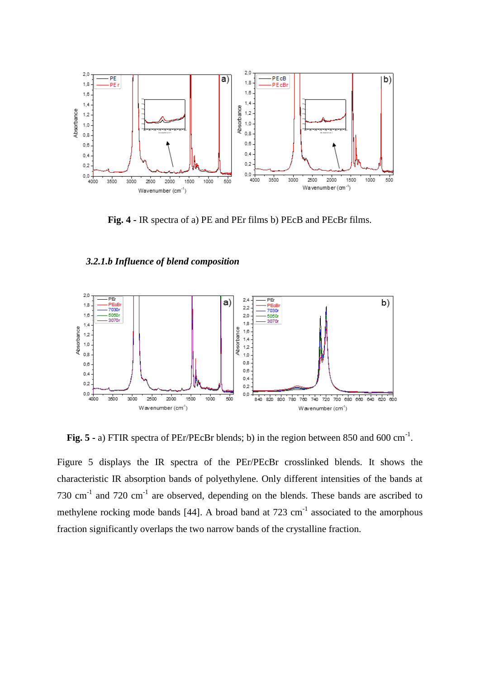

**Fig. 4 -** IR spectra of a) PE and PEr films b) PEcB and PEcBr films.

# *3.2.1.b Influence of blend composition*



Fig. 5 - a) FTIR spectra of PEr/PEcBr blends; b) in the region between 850 and 600 cm<sup>-1</sup>.

Figure 5 displays the IR spectra of the PEr/PEcBr crosslinked blends. It shows the characteristic IR absorption bands of polyethylene. Only different intensities of the bands at 730  $\text{cm}^{-1}$  and 720  $\text{cm}^{-1}$  are observed, depending on the blends. These bands are ascribed to methylene rocking mode bands [44]. A broad band at  $723 \text{ cm}^{-1}$  associated to the amorphous fraction significantly overlaps the two narrow bands of the crystalline fraction.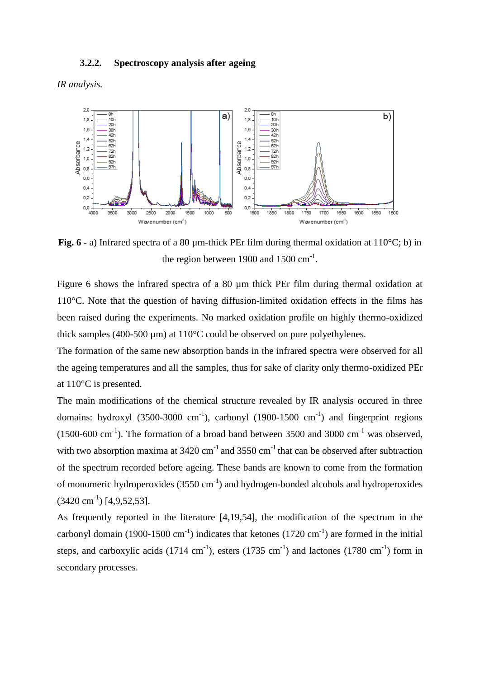## **3.2.2. Spectroscopy analysis after ageing**

*IR analysis.*



**Fig. 6 -** a) Infrared spectra of a 80 um-thick PEr film during thermal oxidation at 110<sup>o</sup>C; b) in the region between 1900 and 1500  $\text{cm}^{-1}$ .

Figure 6 shows the infrared spectra of a 80  $\mu$ m thick PEr film during thermal oxidation at 110°C. Note that the question of having diffusion-limited oxidation effects in the films has been raised during the experiments. No marked oxidation profile on highly thermo-oxidized thick samples (400-500  $\mu$ m) at 110°C could be observed on pure polyethylenes.

The formation of the same new absorption bands in the infrared spectra were observed for all the ageing temperatures and all the samples, thus for sake of clarity only thermo-oxidized PEr at 110°C is presented.

The main modifications of the chemical structure revealed by IR analysis occured in three domains: hydroxyl (3500-3000 cm<sup>-1</sup>), carbonyl (1900-1500 cm<sup>-1</sup>) and fingerprint regions  $(1500-600 \text{ cm}^{-1})$ . The formation of a broad band between 3500 and 3000 cm<sup>-1</sup> was observed, with two absorption maxima at  $3420 \text{ cm}^{-1}$  and  $3550 \text{ cm}^{-1}$  that can be observed after subtraction of the spectrum recorded before ageing. These bands are known to come from the formation of monomeric hydroperoxides  $(3550 \text{ cm}^{-1})$  and hydrogen-bonded alcohols and hydroperoxides  $(3420 \text{ cm}^{-1})$  [4,9,52,53].

As frequently reported in the literature [4,19,54], the modification of the spectrum in the carbonyl domain (1900-1500 cm<sup>-1</sup>) indicates that ketones (1720 cm<sup>-1</sup>) are formed in the initial steps, and carboxylic acids  $(1714 \text{ cm}^{-1})$ , esters  $(1735 \text{ cm}^{-1})$  and lactones  $(1780 \text{ cm}^{-1})$  form in secondary processes.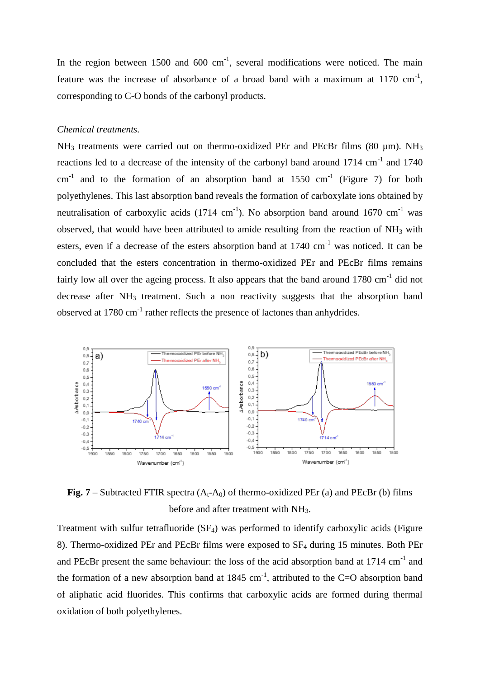In the region between  $1500$  and  $600 \text{ cm}^{-1}$ , several modifications were noticed. The main feature was the increase of absorbance of a broad band with a maximum at  $1170 \text{ cm}^{-1}$ , corresponding to C-O bonds of the carbonyl products.

## *Chemical treatments.*

 $NH<sub>3</sub>$  treatments were carried out on thermo-oxidized PEr and PEcBr films (80 µm). NH<sub>3</sub> reactions led to a decrease of the intensity of the carbonyl band around  $1714 \text{ cm}^{-1}$  and  $1740$ cm<sup>-1</sup> and to the formation of an absorption band at 1550 cm<sup>-1</sup> (Figure 7) for both polyethylenes. This last absorption band reveals the formation of carboxylate ions obtained by neutralisation of carboxylic acids  $(1714 \text{ cm}^{-1})$ . No absorption band around 1670 cm<sup>-1</sup> was observed, that would have been attributed to amide resulting from the reaction of  $NH_3$  with esters, even if a decrease of the esters absorption band at  $1740 \text{ cm}^{-1}$  was noticed. It can be concluded that the esters concentration in thermo-oxidized PEr and PEcBr films remains fairly low all over the ageing process. It also appears that the band around  $1780 \text{ cm}^{-1}$  did not decrease after NH<sub>3</sub> treatment. Such a non reactivity suggests that the absorption band observed at  $1780 \text{ cm}^{-1}$  rather reflects the presence of lactones than anhydrides.



**Fig. 7** – Subtracted FTIR spectra  $(A_t - A_0)$  of thermo-oxidized PEr (a) and PEcBr (b) films before and after treatment with NH<sub>3</sub>.

Treatment with sulfur tetrafluoride  $(SF<sub>4</sub>)$  was performed to identify carboxylic acids (Figure 8). Thermo-oxidized PEr and PEcBr films were exposed to  $SF_4$  during 15 minutes. Both PEr and PEcBr present the same behaviour: the loss of the acid absorption band at  $1714 \text{ cm}^{-1}$  and the formation of a new absorption band at  $1845 \text{ cm}^{-1}$ , attributed to the C=O absorption band of aliphatic acid fluorides. This confirms that carboxylic acids are formed during thermal oxidation of both polyethylenes.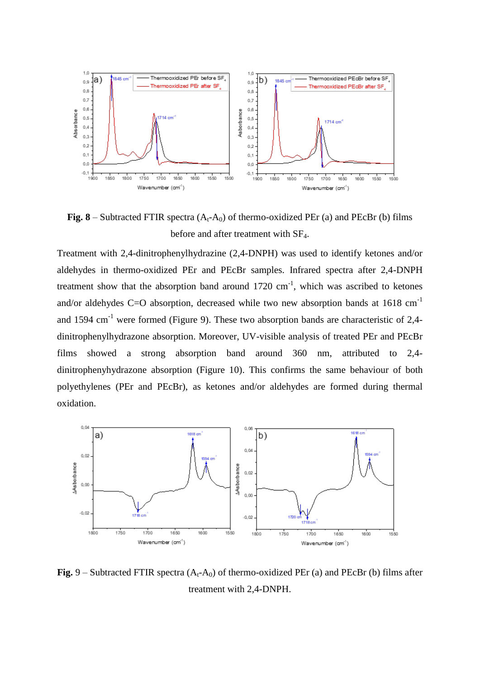

**Fig. 8** – Subtracted FTIR spectra  $(A_t - A_0)$  of thermo-oxidized PEr (a) and PEcBr (b) films before and after treatment with SF4.

Treatment with 2,4-dinitrophenylhydrazine (2,4-DNPH) was used to identify ketones and/or aldehydes in thermo-oxidized PEr and PEcBr samples. Infrared spectra after 2,4-DNPH treatment show that the absorption band around  $1720 \text{ cm}^{-1}$ , which was ascribed to ketones and/or aldehydes C=O absorption, decreased while two new absorption bands at  $1618 \text{ cm}^{-1}$ and 1594  $\text{cm}^{-1}$  were formed (Figure 9). These two absorption bands are characteristic of 2,4dinitrophenylhydrazone absorption. Moreover, UV-visible analysis of treated PEr and PEcBr films showed a strong absorption band around 360 nm, attributed to 2,4 dinitrophenyhydrazone absorption (Figure 10). This confirms the same behaviour of both polyethylenes (PEr and PEcBr), as ketones and/or aldehydes are formed during thermal oxidation.



**Fig.**  $9$  – Subtracted FTIR spectra  $(A_t-A_0)$  of thermo-oxidized PEr (a) and PEcBr (b) films after treatment with 2,4-DNPH.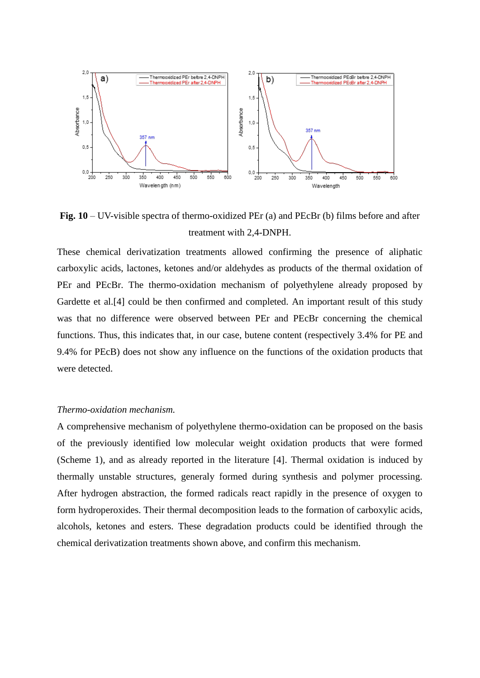

**Fig. 10** – UV-visible spectra of thermo-oxidized PEr (a) and PEcBr (b) films before and after treatment with 2,4-DNPH.

These chemical derivatization treatments allowed confirming the presence of aliphatic carboxylic acids, lactones, ketones and/or aldehydes as products of the thermal oxidation of PEr and PEcBr. The thermo-oxidation mechanism of polyethylene already proposed by Gardette et al.[4] could be then confirmed and completed. An important result of this study was that no difference were observed between PEr and PEcBr concerning the chemical functions. Thus, this indicates that, in our case, butene content (respectively 3.4% for PE and 9.4% for PEcB) does not show any influence on the functions of the oxidation products that were detected.

#### *Thermo-oxidation mechanism.*

A comprehensive mechanism of polyethylene thermo-oxidation can be proposed on the basis of the previously identified low molecular weight oxidation products that were formed (Scheme 1), and as already reported in the literature [4]. Thermal oxidation is induced by thermally unstable structures, generaly formed during synthesis and polymer processing. After hydrogen abstraction, the formed radicals react rapidly in the presence of oxygen to form hydroperoxides. Their thermal decomposition leads to the formation of carboxylic acids, alcohols, ketones and esters. These degradation products could be identified through the chemical derivatization treatments shown above, and confirm this mechanism.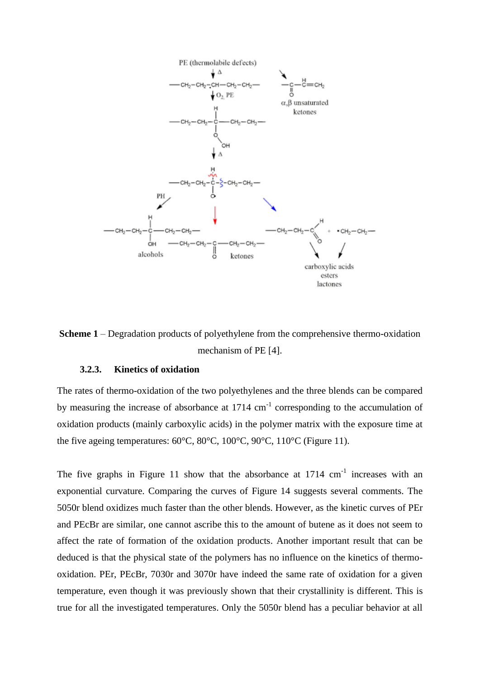



## **3.2.3. Kinetics of oxidation**

The rates of thermo-oxidation of the two polyethylenes and the three blends can be compared by measuring the increase of absorbance at  $1714 \text{ cm}^{-1}$  corresponding to the accumulation of oxidation products (mainly carboxylic acids) in the polymer matrix with the exposure time at the five ageing temperatures: 60°C, 80°C, 100°C, 90°C, 110°C (Figure 11).

The five graphs in Figure 11 show that the absorbance at  $1714 \text{ cm}^{-1}$  increases with an exponential curvature. Comparing the curves of Figure 14 suggests several comments. The 5050r blend oxidizes much faster than the other blends. However, as the kinetic curves of PEr and PEcBr are similar, one cannot ascribe this to the amount of butene as it does not seem to affect the rate of formation of the oxidation products. Another important result that can be deduced is that the physical state of the polymers has no influence on the kinetics of thermooxidation. PEr, PEcBr, 7030r and 3070r have indeed the same rate of oxidation for a given temperature, even though it was previously shown that their crystallinity is different. This is true for all the investigated temperatures. Only the 5050r blend has a peculiar behavior at all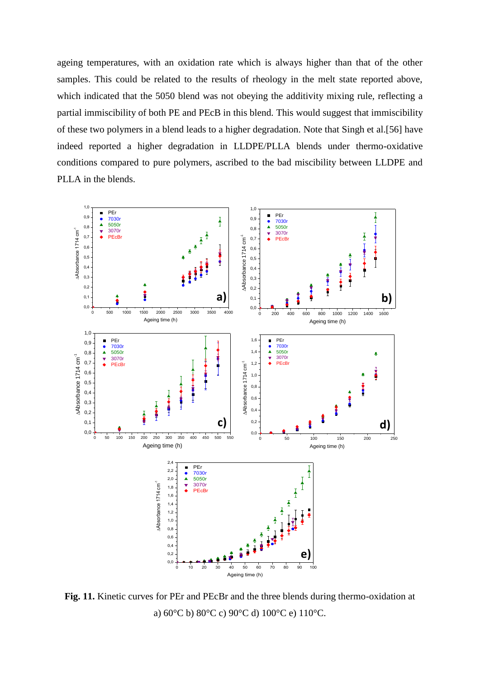ageing temperatures, with an oxidation rate which is always higher than that of the other samples. This could be related to the results of rheology in the melt state reported above, which indicated that the 5050 blend was not obeying the additivity mixing rule, reflecting a partial immiscibility of both PE and PEcB in this blend. This would suggest that immiscibility of these two polymers in a blend leads to a higher degradation. Note that Singh et al.[56] have indeed reported a higher degradation in LLDPE/PLLA blends under thermo-oxidative conditions compared to pure polymers, ascribed to the bad miscibility between LLDPE and PLLA in the blends.



**Fig. 11.** Kinetic curves for PEr and PEcBr and the three blends during thermo-oxidation at a) 60°C b) 80°C c) 90°C d) 100°C e) 110°C.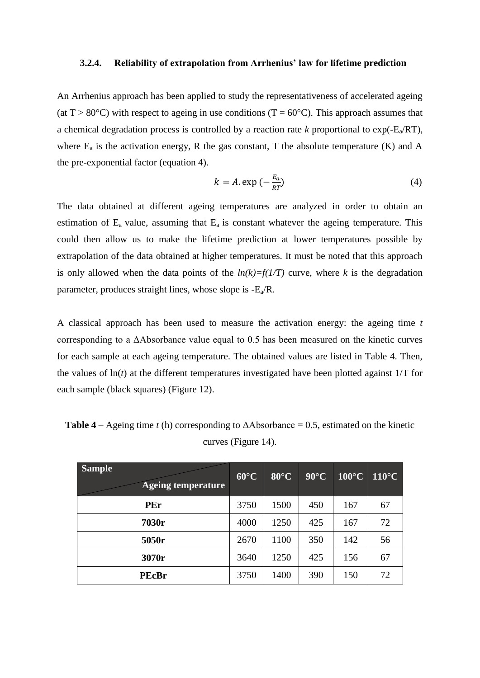#### **3.2.4. Reliability of extrapolation from Arrhenius' law for lifetime prediction**

An Arrhenius approach has been applied to study the representativeness of accelerated ageing (at T > 80 $^{\circ}$ C) with respect to ageing in use conditions (T = 60 $^{\circ}$ C). This approach assumes that a chemical degradation process is controlled by a reaction rate  $k$  proportional to  $exp(-E_a/RT)$ , where  $E_a$  is the activation energy, R the gas constant, T the absolute temperature (K) and A the pre-exponential factor (equation 4).

$$
k = A \exp\left(-\frac{E_a}{RT}\right) \tag{4}
$$

The data obtained at different ageing temperatures are analyzed in order to obtain an estimation of  $E_a$  value, assuming that  $E_a$  is constant whatever the ageing temperature. This could then allow us to make the lifetime prediction at lower temperatures possible by extrapolation of the data obtained at higher temperatures. It must be noted that this approach is only allowed when the data points of the  $ln(k)=f(1/T)$  curve, where k is the degradation parameter, produces straight lines, whose slope is  $-E_a/R$ .

A classical approach has been used to measure the activation energy: the ageing time *t* corresponding to a ΔAbsorbance value equal to 0.5 has been measured on the kinetic curves for each sample at each ageing temperature. The obtained values are listed in Table 4. Then, the values of  $ln(t)$  at the different temperatures investigated have been plotted against  $1/T$  for each sample (black squares) (Figure 12).

| <b>Sample</b><br><b>Ageing temperature</b> | $60^{\circ}$ C | $80^{\circ}$ C | $90^{\circ}$ C | $100^{\circ}$ C | $110^{\circ}$ C |
|--------------------------------------------|----------------|----------------|----------------|-----------------|-----------------|
| PEr                                        | 3750           | 1500           | 450            | 167             | 67              |
| 7030r                                      | 4000           | 1250           | 425            | 167             | 72              |
| 5050r                                      | 2670           | 1100           | 350            | 142             | 56              |
| 3070r                                      | 3640           | 1250           | 425            | 156             | 67              |
| <b>PEcBr</b>                               | 3750           | 1400           | 390            | 150             | 72              |

**Table 4** – Ageing time *t* (h) corresponding to  $\Delta$ Absorbance = 0.5, estimated on the kinetic curves (Figure 14).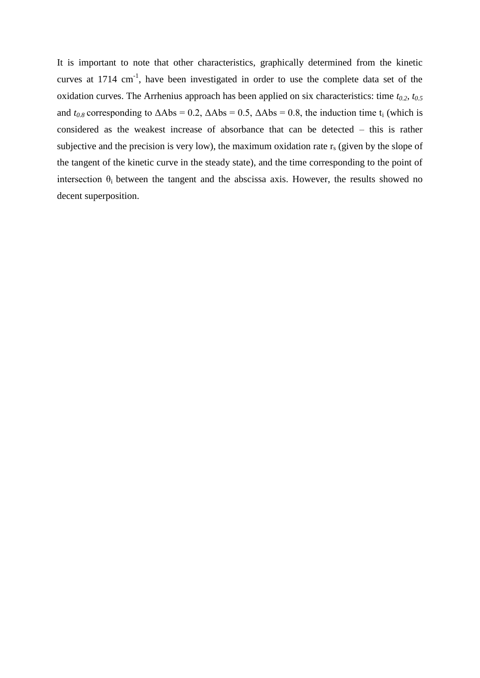It is important to note that other characteristics, graphically determined from the kinetic curves at 1714 cm<sup>-1</sup>, have been investigated in order to use the complete data set of the oxidation curves. The Arrhenius approach has been applied on six characteristics: time *t0.2, t0.5*  and  $t_{0.8}$  corresponding to  $\Delta \text{Abs} = 0.2$ ,  $\Delta \text{Abs} = 0.5$ ,  $\Delta \text{Abs} = 0.8$ , the induction time t<sub>i</sub> (which is considered as the weakest increase of absorbance that can be detected – this is rather subjective and the precision is very low), the maximum oxidation rate  $r_s$  (given by the slope of the tangent of the kinetic curve in the steady state), and the time corresponding to the point of intersection  $\theta_i$  between the tangent and the [abscissa axis.](https://www.linguee.fr/anglais-francais/traduction/abscissa+axis.html) However, the results showed no decent superposition.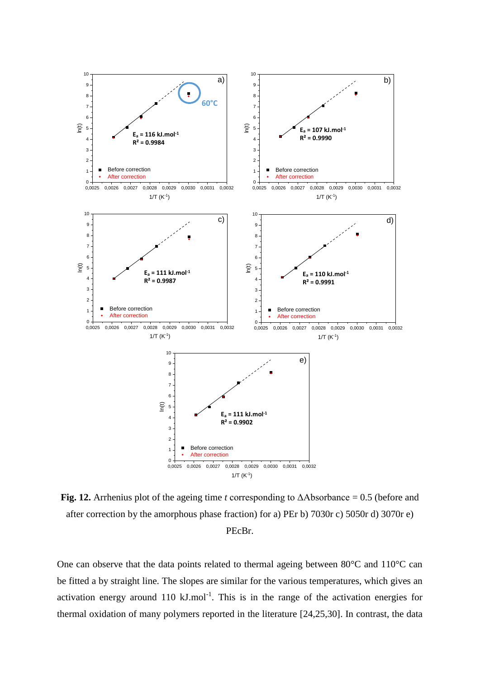

**Fig. 12.** Arrhenius plot of the ageing time *t* corresponding to  $\Delta$ Absorbance = 0.5 (before and after correction by the amorphous phase fraction) for a) PEr b) 7030r c) 5050r d) 3070r e) PEcBr.

One can observe that the data points related to thermal ageing between 80°C and 110°C can be fitted a by straight line. The slopes are similar for the various temperatures, which gives an activation energy around 110  $kJ$ .mol<sup>-1</sup>. This is in the range of the activation energies for thermal oxidation of many polymers reported in the literature [24,25,30]. In contrast, the data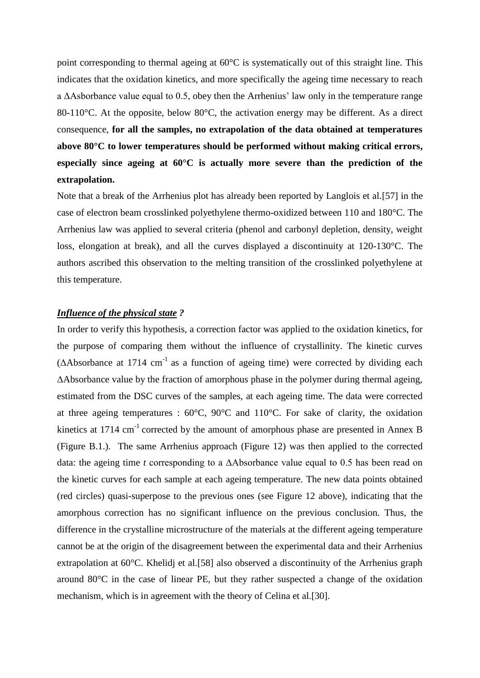point corresponding to thermal ageing at 60°C is systematically out of this straight line. This indicates that the oxidation kinetics, and more specifically the ageing time necessary to reach a ΔAsborbance value equal to 0.5, obey then the Arrhenius' law only in the temperature range 80-110<sup>o</sup>C. At the opposite, below 80<sup>o</sup>C, the activation energy may be different. As a direct consequence, **for all the samples, no extrapolation of the data obtained at temperatures above 80°C to lower temperatures should be performed without making critical errors, especially since ageing at 60°C is actually more severe than the prediction of the extrapolation.** 

Note that a break of the Arrhenius plot has already been reported by Langlois et al.[57] in the case of electron beam crosslinked polyethylene thermo-oxidized between 110 and 180°C. The Arrhenius law was applied to several criteria (phenol and carbonyl depletion, density, weight loss, elongation at break), and all the curves displayed a discontinuity at 120-130°C. The authors ascribed this observation to the melting transition of the crosslinked polyethylene at this temperature.

## *Influence of the physical state ?*

In order to verify this hypothesis, a correction factor was applied to the oxidation kinetics, for the purpose of comparing them without the influence of crystallinity. The kinetic curves  $(\Delta A$ bsorbance at 1714 cm<sup>-1</sup> as a function of ageing time) were corrected by dividing each ΔAbsorbance value by the fraction of amorphous phase in the polymer during thermal ageing, estimated from the DSC curves of the samples, at each ageing time. The data were corrected at three ageing temperatures :  $60^{\circ}$ C,  $90^{\circ}$ C and  $110^{\circ}$ C. For sake of clarity, the oxidation kinetics at  $1714 \text{ cm}^{-1}$  corrected by the amount of amorphous phase are presented in Annex B (Figure B.1.). The same Arrhenius approach (Figure 12) was then applied to the corrected data: the ageing time *t* corresponding to a ΔAbsorbance value equal to 0.5 has been read on the kinetic curves for each sample at each ageing temperature. The new data points obtained (red circles) quasi-superpose to the previous ones (see Figure 12 above), indicating that the amorphous correction has no significant influence on the previous conclusion. Thus, the difference in the crystalline microstructure of the materials at the different ageing temperature cannot be at the origin of the disagreement between the experimental data and their Arrhenius extrapolation at 60°C. Khelidj et al. [58] also observed a discontinuity of the Arrhenius graph around 80°C in the case of linear PE, but they rather suspected a change of the oxidation mechanism, which is in agreement with the theory of Celina et al.[30].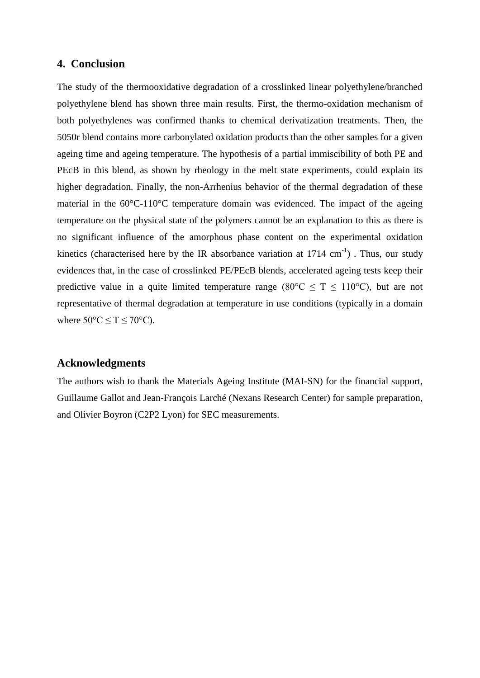# **4. Conclusion**

The study of the thermooxidative degradation of a crosslinked linear polyethylene/branched polyethylene blend has shown three main results. First, the thermo-oxidation mechanism of both polyethylenes was confirmed thanks to chemical derivatization treatments. Then, the 5050r blend contains more carbonylated oxidation products than the other samples for a given ageing time and ageing temperature. The hypothesis of a partial immiscibility of both PE and PEcB in this blend, as shown by rheology in the melt state experiments, could explain its higher degradation. Finally, the non-Arrhenius behavior of the thermal degradation of these material in the 60°C-110°C temperature domain was evidenced. The impact of the ageing temperature on the physical state of the polymers cannot be an explanation to this as there is no significant influence of the amorphous phase content on the experimental oxidation kinetics (characterised here by the IR absorbance variation at  $1714 \text{ cm}^{-1}$ ). Thus, our study evidences that, in the case of crosslinked PE/PEcB blends, accelerated ageing tests keep their predictive value in a quite limited temperature range (80 $\degree$ C  $\leq$  T  $\leq$  110 $\degree$ C), but are not representative of thermal degradation at temperature in use conditions (typically in a domain where  $50^{\circ}$ C  $\leq$  T  $\leq$  70°C).

# **Acknowledgments**

The authors wish to thank the Materials Ageing Institute (MAI-SN) for the financial support, Guillaume Gallot and Jean-François Larché (Nexans Research Center) for sample preparation, and Olivier Boyron (C2P2 Lyon) for SEC measurements.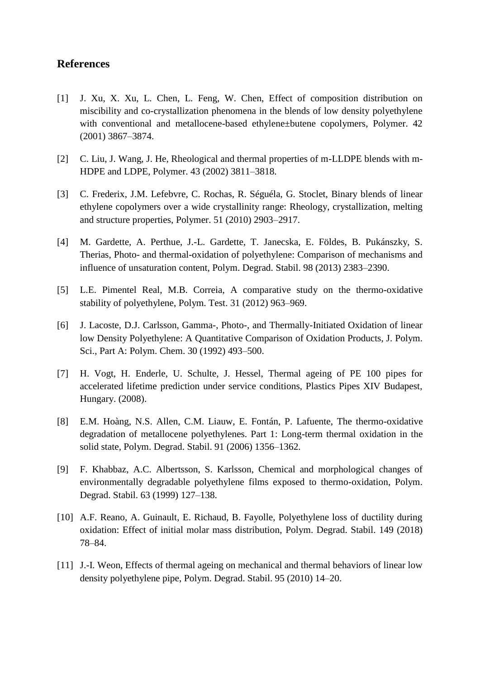# **References**

- [1] J. Xu, X. Xu, L. Chen, L. Feng, W. Chen, Effect of composition distribution on miscibility and co-crystallization phenomena in the blends of low density polyethylene with conventional and metallocene-based ethylene±butene copolymers, Polymer. 42 (2001) 3867–3874.
- [2] C. Liu, J. Wang, J. He, Rheological and thermal properties of m-LLDPE blends with m-HDPE and LDPE, Polymer. 43 (2002) 3811–3818.
- [3] C. Frederix, J.M. Lefebvre, C. Rochas, R. Séguéla, G. Stoclet, Binary blends of linear ethylene copolymers over a wide crystallinity range: Rheology, crystallization, melting and structure properties, Polymer. 51 (2010) 2903–2917.
- [4] M. Gardette, A. Perthue, J.-L. Gardette, T. Janecska, E. Földes, B. Pukánszky, S. Therias, Photo- and thermal-oxidation of polyethylene: Comparison of mechanisms and influence of unsaturation content, Polym. Degrad. Stabil. 98 (2013) 2383–2390.
- [5] L.E. Pimentel Real, M.B. Correia, A comparative study on the thermo-oxidative stability of polyethylene, Polym. Test. 31 (2012) 963–969.
- [6] J. Lacoste, D.J. Carlsson, Gamma-, Photo-, and Thermally-Initiated Oxidation of linear low Density Polyethylene: A Quantitative Comparison of Oxidation Products, J. Polym. Sci., Part A: Polym. Chem. 30 (1992) 493–500.
- [7] H. Vogt, H. Enderle, U. Schulte, J. Hessel, Thermal ageing of PE 100 pipes for accelerated lifetime prediction under service conditions, Plastics Pipes XIV Budapest, Hungary. (2008).
- [8] E.M. Hoàng, N.S. Allen, C.M. Liauw, E. Fontán, P. Lafuente, The thermo-oxidative degradation of metallocene polyethylenes. Part 1: Long-term thermal oxidation in the solid state, Polym. Degrad. Stabil. 91 (2006) 1356–1362.
- [9] F. Khabbaz, A.C. Albertsson, S. Karlsson, Chemical and morphological changes of environmentally degradable polyethylene films exposed to thermo-oxidation, Polym. Degrad. Stabil. 63 (1999) 127–138.
- [10] A.F. Reano, A. Guinault, E. Richaud, B. Fayolle, Polyethylene loss of ductility during oxidation: Effect of initial molar mass distribution, Polym. Degrad. Stabil. 149 (2018) 78–84.
- [11] J.-I. Weon, Effects of thermal ageing on mechanical and thermal behaviors of linear low density polyethylene pipe, Polym. Degrad. Stabil. 95 (2010) 14–20.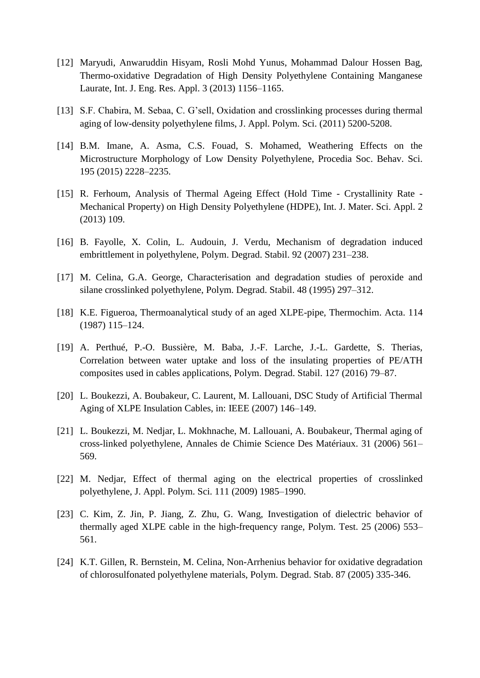- [12] Maryudi, Anwaruddin Hisyam, Rosli Mohd Yunus, Mohammad Dalour Hossen Bag, Thermo-oxidative Degradation of High Density Polyethylene Containing Manganese Laurate, Int. J. Eng. Res. Appl. 3 (2013) 1156–1165.
- [13] S.F. Chabira, M. Sebaa, C. G'sell, Oxidation and crosslinking processes during thermal aging of low-density polyethylene films, J. Appl. Polym. Sci. (2011) 5200-5208.
- [14] B.M. Imane, A. Asma, C.S. Fouad, S. Mohamed, Weathering Effects on the Microstructure Morphology of Low Density Polyethylene, Procedia Soc. Behav. Sci. 195 (2015) 2228–2235.
- [15] R. Ferhoum, Analysis of Thermal Ageing Effect (Hold Time Crystallinity Rate Mechanical Property) on High Density Polyethylene (HDPE), Int. J. Mater. Sci. Appl. 2 (2013) 109.
- [16] B. Fayolle, X. Colin, L. Audouin, J. Verdu, Mechanism of degradation induced embrittlement in polyethylene, Polym. Degrad. Stabil. 92 (2007) 231–238.
- [17] M. Celina, G.A. George, Characterisation and degradation studies of peroxide and silane crosslinked polyethylene, Polym. Degrad. Stabil. 48 (1995) 297–312.
- [18] K.E. Figueroa, Thermoanalytical study of an aged XLPE-pipe, Thermochim. Acta. 114 (1987) 115–124.
- [19] A. Perthué, P.-O. Bussière, M. Baba, J.-F. Larche, J.-L. Gardette, S. Therias, Correlation between water uptake and loss of the insulating properties of PE/ATH composites used in cables applications, Polym. Degrad. Stabil. 127 (2016) 79–87.
- [20] L. Boukezzi, A. Boubakeur, C. Laurent, M. Lallouani, DSC Study of Artificial Thermal Aging of XLPE Insulation Cables, in: IEEE (2007) 146–149.
- [21] L. Boukezzi, M. Nedjar, L. Mokhnache, M. Lallouani, A. Boubakeur, Thermal aging of cross-linked polyethylene, Annales de Chimie Science Des Matériaux. 31 (2006) 561– 569.
- [22] M. Nedjar, Effect of thermal aging on the electrical properties of crosslinked polyethylene, J. Appl. Polym. Sci. 111 (2009) 1985–1990.
- [23] C. Kim, Z. Jin, P. Jiang, Z. Zhu, G. Wang, Investigation of dielectric behavior of thermally aged XLPE cable in the high-frequency range, Polym. Test. 25 (2006) 553– 561.
- [24] K.T. Gillen, R. Bernstein, M. Celina, Non-Arrhenius behavior for oxidative degradation of chlorosulfonated polyethylene materials, Polym. Degrad. Stab. 87 (2005) 335-346.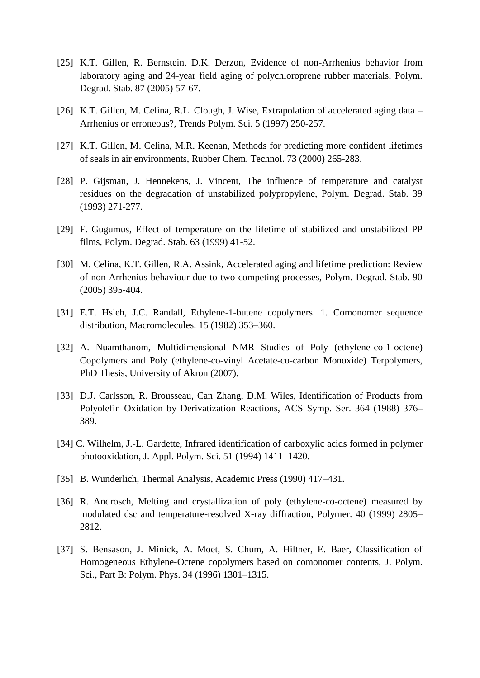- [25] K.T. Gillen, R. Bernstein, D.K. Derzon, Evidence of non-Arrhenius behavior from laboratory aging and 24-year field aging of polychloroprene rubber materials, Polym. Degrad. Stab. 87 (2005) 57-67.
- [26] K.T. Gillen, M. Celina, R.L. Clough, J. Wise, Extrapolation of accelerated aging data Arrhenius or erroneous?, Trends Polym. Sci. 5 (1997) 250-257.
- [27] K.T. Gillen, M. Celina, M.R. Keenan, Methods for predicting more confident lifetimes of seals in air environments, Rubber Chem. Technol. 73 (2000) 265-283.
- [28] P. Gijsman, J. Hennekens, J. Vincent, The influence of temperature and catalyst residues on the degradation of unstabilized polypropylene, Polym. Degrad. Stab. 39 (1993) 271-277.
- [29] F. Gugumus, Effect of temperature on the lifetime of stabilized and unstabilized PP films, Polym. Degrad. Stab. 63 (1999) 41-52.
- [30] M. Celina, K.T. Gillen, R.A. Assink, Accelerated aging and lifetime prediction: Review of non-Arrhenius behaviour due to two competing processes, Polym. Degrad. Stab. 90 (2005) 395-404.
- [31] E.T. Hsieh, J.C. Randall, Ethylene-1-butene copolymers. 1. Comonomer sequence distribution, Macromolecules. 15 (1982) 353–360.
- [32] A. Nuamthanom, Multidimensional NMR Studies of Poly (ethylene-co-1-octene) Copolymers and Poly (ethylene-co-vinyl Acetate-co-carbon Monoxide) Terpolymers, PhD Thesis, University of Akron (2007).
- [33] D.J. Carlsson, R. Brousseau, Can Zhang, D.M. Wiles, Identification of Products from Polyolefin Oxidation by Derivatization Reactions, ACS Symp. Ser. 364 (1988) 376– 389.
- [34] C. Wilhelm, J.-L. Gardette, Infrared identification of carboxylic acids formed in polymer photooxidation, J. Appl. Polym. Sci. 51 (1994) 1411–1420.
- [35] B. Wunderlich, Thermal Analysis, Academic Press (1990) 417–431.
- [36] R. Androsch, Melting and crystallization of poly (ethylene-co-octene) measured by modulated dsc and temperature-resolved X-ray diffraction, Polymer. 40 (1999) 2805– 2812.
- [37] S. Bensason, J. Minick, A. Moet, S. Chum, A. Hiltner, E. Baer, Classification of Homogeneous Ethylene-Octene copolymers based on comonomer contents, J. Polym. Sci., Part B: Polym. Phys. 34 (1996) 1301–1315.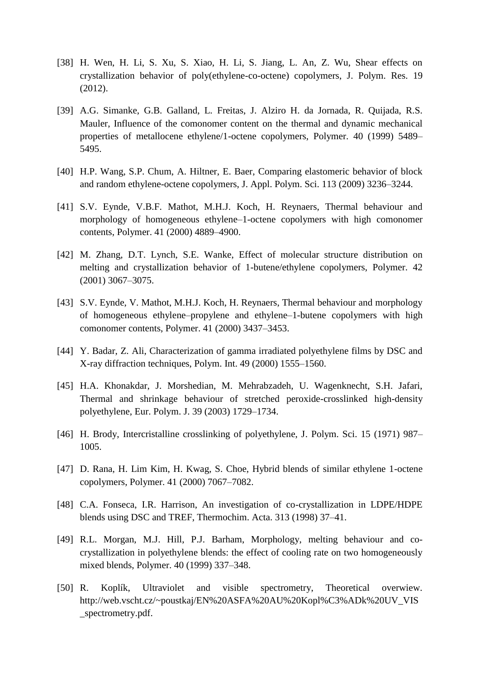- [38] H. Wen, H. Li, S. Xu, S. Xiao, H. Li, S. Jiang, L. An, Z. Wu, Shear effects on crystallization behavior of poly(ethylene-co-octene) copolymers, J. Polym. Res. 19 (2012).
- [39] A.G. Simanke, G.B. Galland, L. Freitas, J. Alziro H. da Jornada, R. Quijada, R.S. Mauler, Influence of the comonomer content on the thermal and dynamic mechanical properties of metallocene ethylene/1-octene copolymers, Polymer. 40 (1999) 5489– 5495.
- [40] H.P. Wang, S.P. Chum, A. Hiltner, E. Baer, Comparing elastomeric behavior of block and random ethylene-octene copolymers, J. Appl. Polym. Sci. 113 (2009) 3236–3244.
- [41] S.V. Eynde, V.B.F. Mathot, M.H.J. Koch, H. Reynaers, Thermal behaviour and morphology of homogeneous ethylene–1-octene copolymers with high comonomer contents, Polymer. 41 (2000) 4889–4900.
- [42] M. Zhang, D.T. Lynch, S.E. Wanke, Effect of molecular structure distribution on melting and crystallization behavior of 1-butene/ethylene copolymers, Polymer. 42 (2001) 3067–3075.
- [43] S.V. Eynde, V. Mathot, M.H.J. Koch, H. Reynaers, Thermal behaviour and morphology of homogeneous ethylene–propylene and ethylene–1-butene copolymers with high comonomer contents, Polymer. 41 (2000) 3437–3453.
- [44] Y. Badar, Z. Ali, Characterization of gamma irradiated polyethylene films by DSC and X-ray diffraction techniques, Polym. Int. 49 (2000) 1555–1560.
- [45] H.A. Khonakdar, J. Morshedian, M. Mehrabzadeh, U. Wagenknecht, S.H. Jafari, Thermal and shrinkage behaviour of stretched peroxide-crosslinked high-density polyethylene, Eur. Polym. J. 39 (2003) 1729–1734.
- [46] H. Brody, Intercristalline crosslinking of polyethylene, J. Polym. Sci. 15 (1971) 987– 1005.
- [47] D. Rana, H. Lim Kim, H. Kwag, S. Choe, Hybrid blends of similar ethylene 1-octene copolymers, Polymer. 41 (2000) 7067–7082.
- [48] C.A. Fonseca, I.R. Harrison, An investigation of co-crystallization in LDPE/HDPE blends using DSC and TREF, Thermochim. Acta. 313 (1998) 37–41.
- [49] R.L. Morgan, M.J. Hill, P.J. Barham, Morphology, melting behaviour and cocrystallization in polyethylene blends: the effect of cooling rate on two homogeneously mixed blends, Polymer. 40 (1999) 337–348.
- [50] R. Koplík, Ultraviolet and visible spectrometry, Theoretical overwiew. http://web.vscht.cz/~poustkaj/EN%20ASFA%20AU%20Kopl%C3%ADk%20UV\_VIS \_spectrometry.pdf.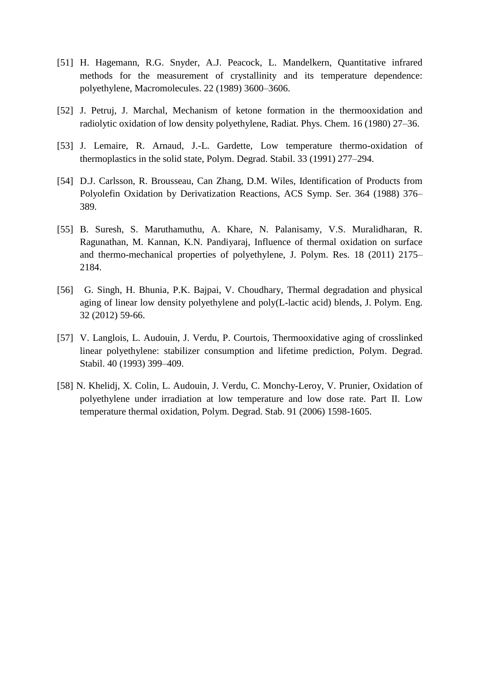- [51] H. Hagemann, R.G. Snyder, A.J. Peacock, L. Mandelkern, Quantitative infrared methods for the measurement of crystallinity and its temperature dependence: polyethylene, Macromolecules. 22 (1989) 3600–3606.
- [52] J. Petruj, J. Marchal, Mechanism of ketone formation in the thermooxidation and radiolytic oxidation of low density polyethylene, Radiat. Phys. Chem. 16 (1980) 27–36.
- [53] J. Lemaire, R. Arnaud, J.-L. Gardette, Low temperature thermo-oxidation of thermoplastics in the solid state, Polym. Degrad. Stabil. 33 (1991) 277–294.
- [54] D.J. Carlsson, R. Brousseau, Can Zhang, D.M. Wiles, Identification of Products from Polyolefin Oxidation by Derivatization Reactions, ACS Symp. Ser. 364 (1988) 376– 389.
- [55] B. Suresh, S. Maruthamuthu, A. Khare, N. Palanisamy, V.S. Muralidharan, R. Ragunathan, M. Kannan, K.N. Pandiyaraj, Influence of thermal oxidation on surface and thermo-mechanical properties of polyethylene, J. Polym. Res. 18 (2011) 2175– 2184.
- [56] G. Singh, H. Bhunia, P.K. Bajpai, V. Choudhary, Thermal degradation and physical aging of linear low density polyethylene and poly(L-lactic acid) blends, J. Polym. Eng. 32 (2012) 59-66.
- [57] V. Langlois, L. Audouin, J. Verdu, P. Courtois, Thermooxidative aging of crosslinked linear polyethylene: stabilizer consumption and lifetime prediction, Polym. Degrad. Stabil. 40 (1993) 399–409.
- [58] N. [Khelidj,](https://www.sciencedirect.com/science/article/pii/S0141391005004350#!) X. [Colin,](https://www.sciencedirect.com/science/article/pii/S0141391005004350#!) L. [Audouin,](https://www.sciencedirect.com/science/article/pii/S0141391005004350#!) J. [Verdu,](https://www.sciencedirect.com/science/article/pii/S0141391005004350#!) C. [Monchy-Leroy,](https://www.sciencedirect.com/science/article/pii/S0141391005004350#!) V. [Prunier,](https://www.sciencedirect.com/science/article/pii/S0141391005004350#!) Oxidation of polyethylene under irradiation at low temperature and low dose rate. Part II. Low temperature thermal oxidation, Polym. Degrad. Stab. 91 (2006) 1598-1605.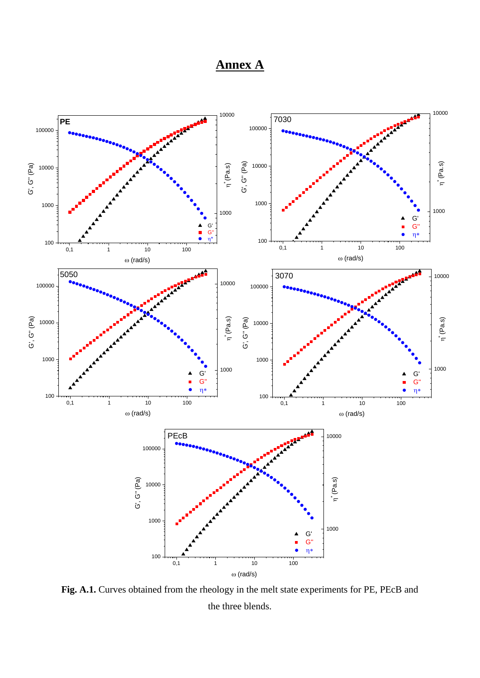# **Annex A**



**Fig. A.1.** Curves obtained from the rheology in the melt state experiments for PE, PEcB and the three blends.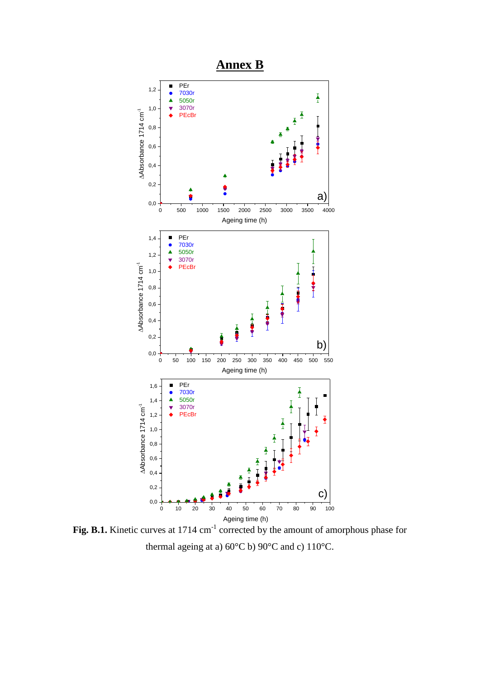

Fig. B.1. Kinetic curves at 1714 cm<sup>-1</sup> corrected by the amount of amorphous phase for thermal ageing at a) 60°C b) 90°C and c) 110°C.